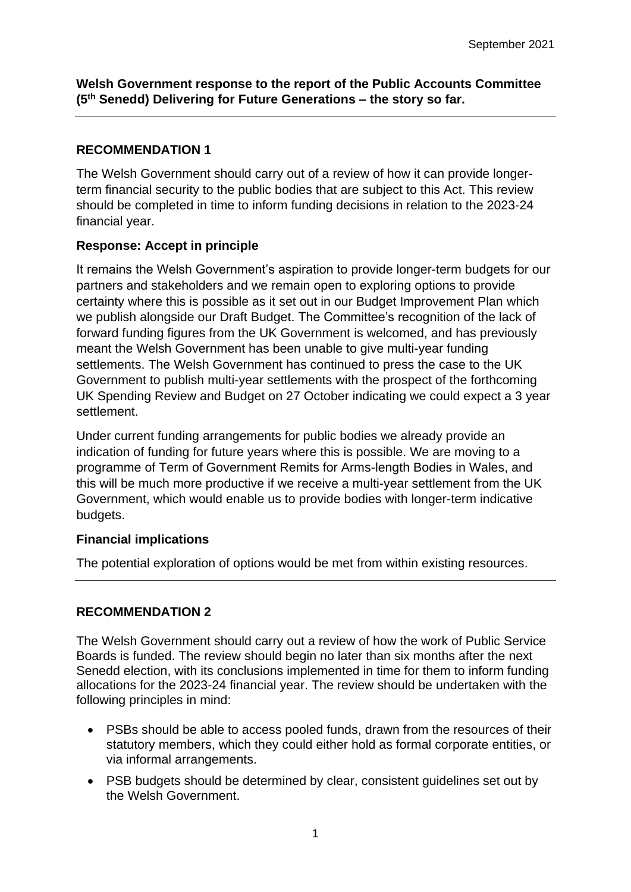**Welsh Government response to the report of the Public Accounts Committee (5th Senedd) Delivering for Future Generations – the story so far.**

# **RECOMMENDATION 1**

The Welsh Government should carry out of a review of how it can provide longerterm financial security to the public bodies that are subject to this Act. This review should be completed in time to inform funding decisions in relation to the 2023-24 financial year.

# **Response: Accept in principle**

It remains the Welsh Government's aspiration to provide longer-term budgets for our partners and stakeholders and we remain open to exploring options to provide certainty where this is possible as it set out in our Budget Improvement Plan which we publish alongside our Draft Budget. The Committee's recognition of the lack of forward funding figures from the UK Government is welcomed, and has previously meant the Welsh Government has been unable to give multi-year funding settlements. The Welsh Government has continued to press the case to the UK Government to publish multi-year settlements with the prospect of the forthcoming UK Spending Review and Budget on 27 October indicating we could expect a 3 year settlement.

Under current funding arrangements for public bodies we already provide an indication of funding for future years where this is possible. We are moving to a programme of Term of Government Remits for Arms-length Bodies in Wales, and this will be much more productive if we receive a multi-year settlement from the UK Government, which would enable us to provide bodies with longer-term indicative budgets.

# **Financial implications**

The potential exploration of options would be met from within existing resources.

# **RECOMMENDATION 2**

The Welsh Government should carry out a review of how the work of Public Service Boards is funded. The review should begin no later than six months after the next Senedd election, with its conclusions implemented in time for them to inform funding allocations for the 2023-24 financial year. The review should be undertaken with the following principles in mind:

- PSBs should be able to access pooled funds, drawn from the resources of their statutory members, which they could either hold as formal corporate entities, or via informal arrangements.
- PSB budgets should be determined by clear, consistent guidelines set out by the Welsh Government.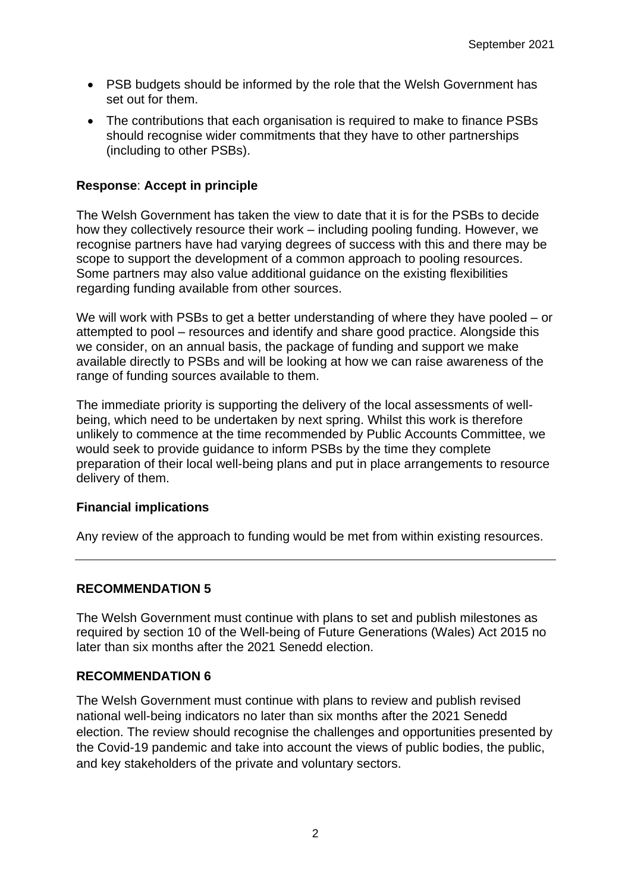- PSB budgets should be informed by the role that the Welsh Government has set out for them.
- The contributions that each organisation is required to make to finance PSBs should recognise wider commitments that they have to other partnerships (including to other PSBs).

### **Response**: **Accept in principle**

The Welsh Government has taken the view to date that it is for the PSBs to decide how they collectively resource their work – including pooling funding. However, we recognise partners have had varying degrees of success with this and there may be scope to support the development of a common approach to pooling resources. Some partners may also value additional guidance on the existing flexibilities regarding funding available from other sources.

We will work with PSBs to get a better understanding of where they have pooled – or attempted to pool – resources and identify and share good practice. Alongside this we consider, on an annual basis, the package of funding and support we make available directly to PSBs and will be looking at how we can raise awareness of the range of funding sources available to them.

The immediate priority is supporting the delivery of the local assessments of wellbeing, which need to be undertaken by next spring. Whilst this work is therefore unlikely to commence at the time recommended by Public Accounts Committee, we would seek to provide guidance to inform PSBs by the time they complete preparation of their local well-being plans and put in place arrangements to resource delivery of them.

### **Financial implications**

Any review of the approach to funding would be met from within existing resources.

### **RECOMMENDATION 5**

The Welsh Government must continue with plans to set and publish milestones as required by section 10 of the Well-being of Future Generations (Wales) Act 2015 no later than six months after the 2021 Senedd election.

### **RECOMMENDATION 6**

The Welsh Government must continue with plans to review and publish revised national well-being indicators no later than six months after the 2021 Senedd election. The review should recognise the challenges and opportunities presented by the Covid-19 pandemic and take into account the views of public bodies, the public, and key stakeholders of the private and voluntary sectors.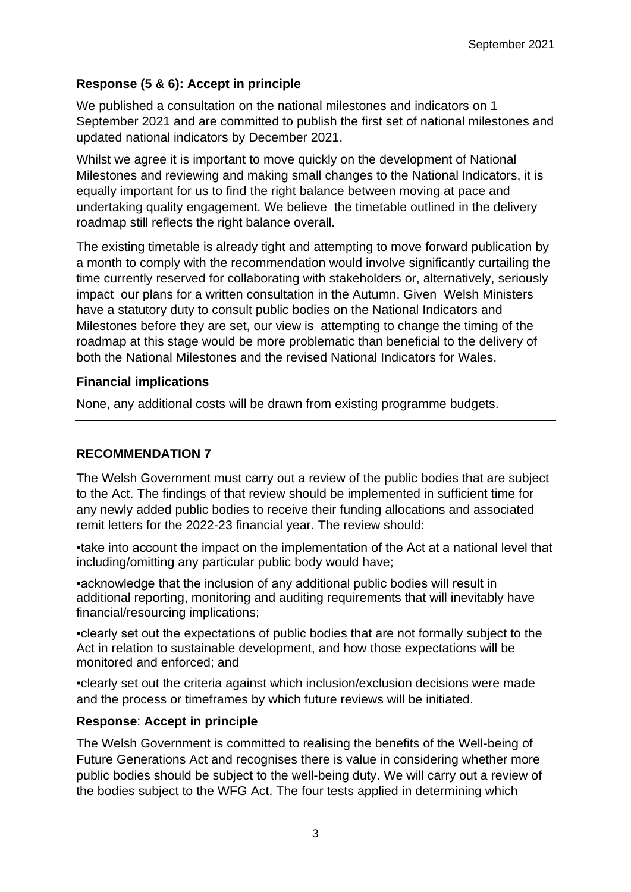# **Response (5 & 6): Accept in principle**

We published a consultation on the national milestones and indicators on 1 September 2021 and are committed to publish the first set of national milestones and updated national indicators by December 2021.

Whilst we agree it is important to move quickly on the development of National Milestones and reviewing and making small changes to the National Indicators, it is equally important for us to find the right balance between moving at pace and undertaking quality engagement. We believe the timetable outlined in the delivery roadmap still reflects the right balance overall.

The existing timetable is already tight and attempting to move forward publication by a month to comply with the recommendation would involve significantly curtailing the time currently reserved for collaborating with stakeholders or, alternatively, seriously impact our plans for a written consultation in the Autumn. Given Welsh Ministers have a statutory duty to consult public bodies on the National Indicators and Milestones before they are set, our view is attempting to change the timing of the roadmap at this stage would be more problematic than beneficial to the delivery of both the National Milestones and the revised National Indicators for Wales.

# **Financial implications**

None, any additional costs will be drawn from existing programme budgets.

# **RECOMMENDATION 7**

The Welsh Government must carry out a review of the public bodies that are subject to the Act. The findings of that review should be implemented in sufficient time for any newly added public bodies to receive their funding allocations and associated remit letters for the 2022-23 financial year. The review should:

▪take into account the impact on the implementation of the Act at a national level that including/omitting any particular public body would have;

▪acknowledge that the inclusion of any additional public bodies will result in additional reporting, monitoring and auditing requirements that will inevitably have financial/resourcing implications;

▪clearly set out the expectations of public bodies that are not formally subject to the Act in relation to sustainable development, and how those expectations will be monitored and enforced; and

▪clearly set out the criteria against which inclusion/exclusion decisions were made and the process or timeframes by which future reviews will be initiated.

# **Response**: **Accept in principle**

The Welsh Government is committed to realising the benefits of the Well-being of Future Generations Act and recognises there is value in considering whether more public bodies should be subject to the well-being duty. We will carry out a review of the bodies subject to the WFG Act. The four tests applied in determining which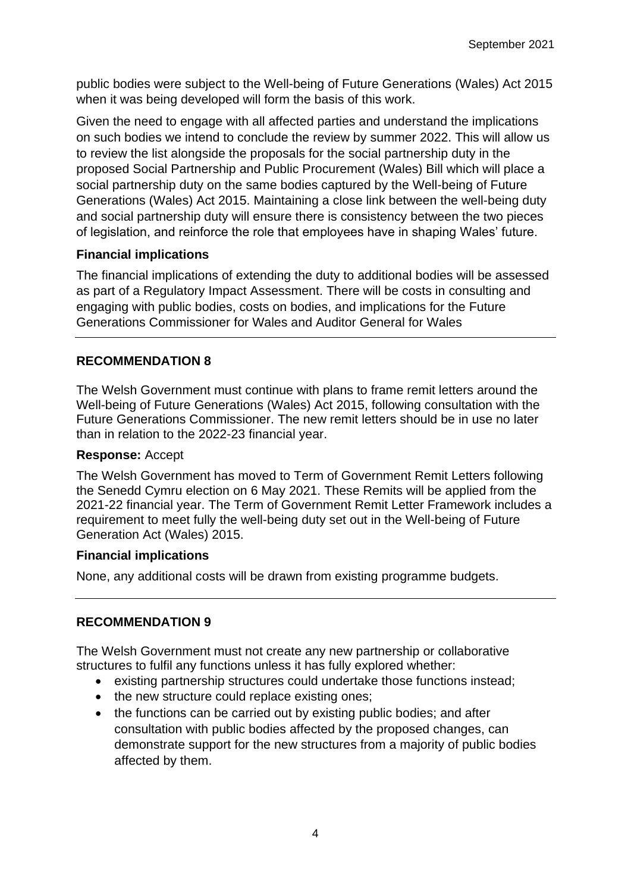public bodies were subject to the Well-being of Future Generations (Wales) Act 2015 when it was being developed will form the basis of this work.

Given the need to engage with all affected parties and understand the implications on such bodies we intend to conclude the review by summer 2022. This will allow us to review the list alongside the proposals for the social partnership duty in the proposed Social Partnership and Public Procurement (Wales) Bill which will place a social partnership duty on the same bodies captured by the Well-being of Future Generations (Wales) Act 2015. Maintaining a close link between the well-being duty and social partnership duty will ensure there is consistency between the two pieces of legislation, and reinforce the role that employees have in shaping Wales' future.

# **Financial implications**

The financial implications of extending the duty to additional bodies will be assessed as part of a Regulatory Impact Assessment. There will be costs in consulting and engaging with public bodies, costs on bodies, and implications for the Future Generations Commissioner for Wales and Auditor General for Wales

# **RECOMMENDATION 8**

The Welsh Government must continue with plans to frame remit letters around the Well-being of Future Generations (Wales) Act 2015, following consultation with the Future Generations Commissioner. The new remit letters should be in use no later than in relation to the 2022-23 financial year.

# **Response:** Accept

The Welsh Government has moved to Term of Government Remit Letters following the Senedd Cymru election on 6 May 2021. These Remits will be applied from the 2021-22 financial year. The Term of Government Remit Letter Framework includes a requirement to meet fully the well-being duty set out in the Well-being of Future Generation Act (Wales) 2015.

# **Financial implications**

None, any additional costs will be drawn from existing programme budgets.

# **RECOMMENDATION 9**

The Welsh Government must not create any new partnership or collaborative structures to fulfil any functions unless it has fully explored whether:

- existing partnership structures could undertake those functions instead;
- the new structure could replace existing ones;
- the functions can be carried out by existing public bodies; and after consultation with public bodies affected by the proposed changes, can demonstrate support for the new structures from a majority of public bodies affected by them.